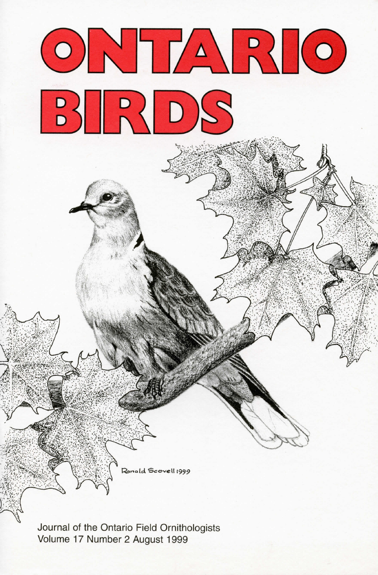

Ronald Scovell 1999

Journal of the Ontario Field Ornithologists Volume 17 Number 2 August 1999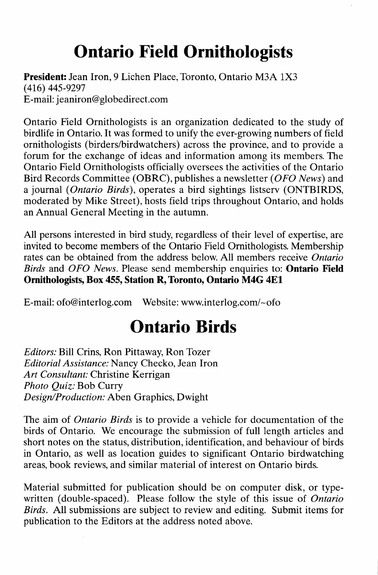# **Ontario Field Ornithologists**

President: Jean Iron, 9 Lichen Place, Toronto, Ontario M3A 1X3 (416) 445-9297 E-mail: jeaniron@globedirect.com

Ontario Field Ornithologists is an organization dedicated to the study of birdlife in Ontario. It was formed to unify the ever-growing numbers of field ornithologists (birders/birdwatchers) across the province, and to provide a forum for the exchange of ideas and information among its members. The Ontario Field Ornithologists officially oversees the activities of the Ontario Bird Records Committee (OBRC), publishes a newsletter *(OFO News)* and a journal *(Ontario Birds),* operates a bird sightings listserv (ONTBIRDS, moderated by Mike Street), hosts field trips throughout Ontario, and holds an Annual General Meeting in the autumn.

All persons interested in bird study, regardless of their level of expertise, are invited to become members of the Ontario Field Ornithologists. Membership rates can be obtained from the address below. All members receive *Ontario Birds* and *OFO News.* Please send membership enquiries to: Ontario Field Ornithologists, Box 455, Station R, Toronto, Ontario M4G 4El

E-mail: ofo@interlog.com Website: www.interlog.com/~ofo

# **Ontario Birds**

*Editors:* Bill Crins, Ron Pittaway, Ron Tozer *Editorial Assistance:* Nancy Checko, Jean Iron *Art Consultant:* Christine Kerrigan *Photo Quiz:* Bob Curry *Design/Production:* Aben Graphics, Dwight

The aim of *Ontario Birds* is to provide a vehicle for documentation of the birds of Ontario. We encourage the submission of full length articles and short notes on the status, distribution, identification, and behaviour of birds in Ontario, as well as location guides to significant Ontario birdwatching areas, book reviews, and similar material of interest on Ontario birds.

Material submitted for publication should be on computer disk, or typewritten (double-spaced). Please follow the style of this issue of *Ontario Birds.* All submissions are subject to review and editing. Submit items for publication to the Editors at the address noted above.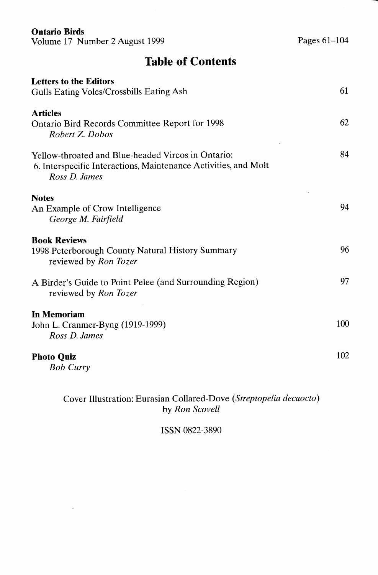#### **Ontario Birds**

Volume 17 Number 2 August 1999

**Table of Contents**

| <b>Letters to the Editors</b><br>Gulls Eating Voles/Crossbills Eating Ash                                                              | 61  |
|----------------------------------------------------------------------------------------------------------------------------------------|-----|
| <b>Articles</b><br><b>Ontario Bird Records Committee Report for 1998</b><br>Robert Z. Dobos                                            | 62  |
| Yellow-throated and Blue-headed Vireos in Ontario:<br>6. Interspecific Interactions, Maintenance Activities, and Molt<br>Ross D. James | 84  |
| <b>Notes</b><br>An Example of Crow Intelligence                                                                                        | 94  |
| George M. Fairfield<br><b>Book Reviews</b><br>1998 Peterborough County Natural History Summary<br>reviewed by Ron Tozer                | 96  |
| A Birder's Guide to Point Pelee (and Surrounding Region)<br>reviewed by Ron Tozer                                                      | 97  |
| In Memoriam<br>John L. Cranmer-Byng (1919-1999)<br>Ross D. James                                                                       | 100 |
| <b>Photo Quiz</b><br><b>Bob Curry</b>                                                                                                  | 102 |

Cover Illustration: Eurasian Collared-Dove *(Streptopelia decaocto)* by *Ron Scovell*

ISSN 0822-3890